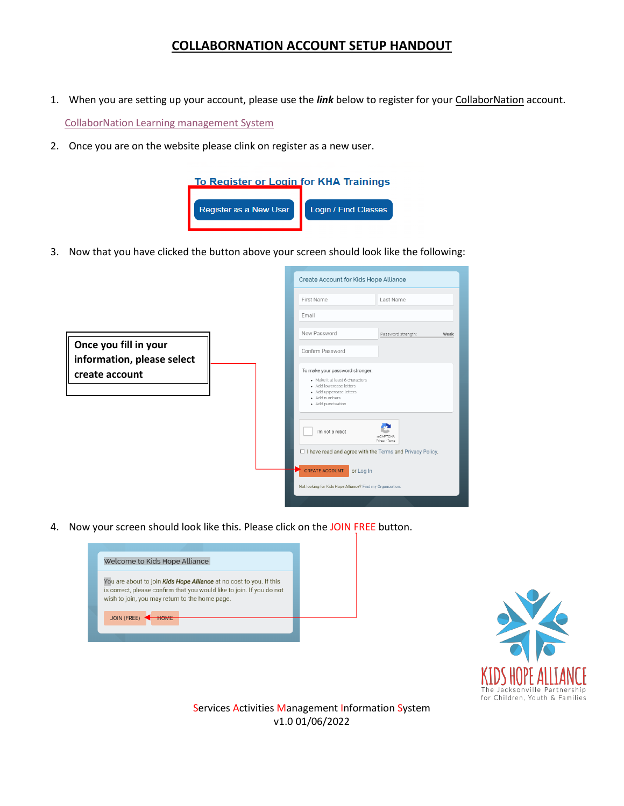## **COLLABORNATION ACCOUNT SETUP HANDOUT**

- 1. When you are setting up your account, please use the *link* below to register for your CollaborNation account. [CollaborNation Learning management System](https://www.kidshopealliance.org/Training-Institute/Training-Events.aspx)
- 2. Once you are on the website please clink on register as a new user.



3. Now that you have clicked the button above your screen should look like the following:

|                                                     | Create Account for Kids Hope Alliance                                                                                                                          |                              |
|-----------------------------------------------------|----------------------------------------------------------------------------------------------------------------------------------------------------------------|------------------------------|
|                                                     | First Name                                                                                                                                                     | Last Name                    |
|                                                     | Email                                                                                                                                                          |                              |
|                                                     | New Password                                                                                                                                                   | Password strength:<br>Weak   |
| Once you fill in your<br>information, please select | Confirm Password                                                                                                                                               |                              |
| create account                                      | To make your password stronger:<br>. Make it at least 6 characters<br>· Add lowercase letters<br>· Add uppercase letters<br>· Add numbers<br>· Add punctuation |                              |
|                                                     | I'm not a robot                                                                                                                                                | reCAPTCHA<br>Privacy - Terms |
|                                                     | □ I have read and agree with the Terms and Privacy Policy.                                                                                                     |                              |
|                                                     | <b>CREATE ACCOUNT</b><br>or Log In                                                                                                                             |                              |
|                                                     | Not looking for Kids Hope Alliance? Find my Organization.                                                                                                      |                              |
|                                                     |                                                                                                                                                                |                              |

4. Now your screen should look like this. Please click on the JOIN FREE button.





Services Activities Management Information System v1.0 01/06/2022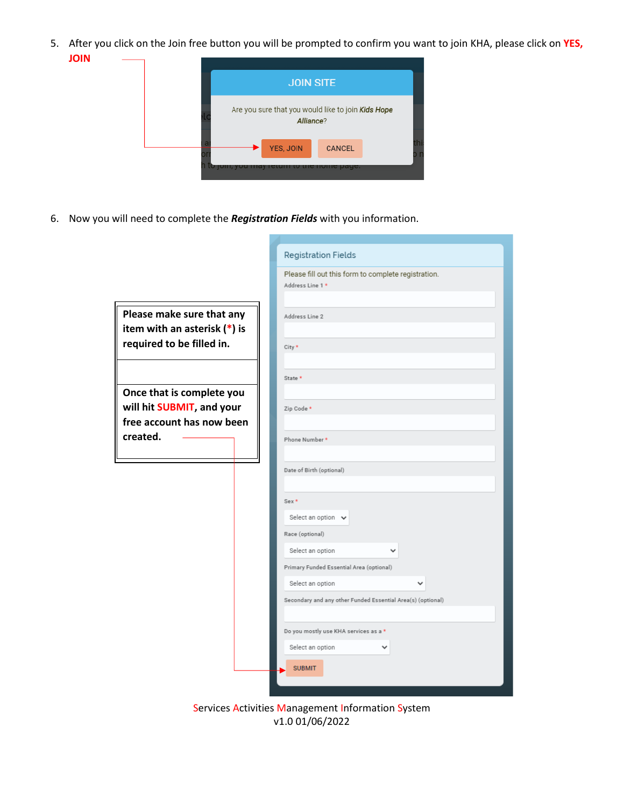5. After you click on the Join free button you will be prompted to confirm you want to join KHA, please click on **YES, JOIN**



6. Now you will need to complete the *Registration Fields* with you information.

|                                                                                          | <b>Registration Fields</b>                                                                                                                                                                                        |
|------------------------------------------------------------------------------------------|-------------------------------------------------------------------------------------------------------------------------------------------------------------------------------------------------------------------|
|                                                                                          | Please fill out this form to complete registration.<br>Address Line 1 *                                                                                                                                           |
| Please make sure that any<br>item with an asterisk $(*)$ is<br>required to be filled in. | Address Line 2                                                                                                                                                                                                    |
|                                                                                          | City *<br>State *                                                                                                                                                                                                 |
| Once that is complete you<br>will hit SUBMIT, and your<br>free account has now been      | Zip Code *                                                                                                                                                                                                        |
| created.                                                                                 | Phone Number *<br>Date of Birth (optional)                                                                                                                                                                        |
|                                                                                          | $Sex*$<br>Select an option v<br>Race (optional)<br>Select an option<br>$\check{ }$<br>Primary Funded Essential Area (optional)<br>Select an option<br>Secondary and any other Funded Essential Area(s) (optional) |
|                                                                                          | Do you mostly use KHA services as a *<br>Select an option<br><b>SUBMIT</b>                                                                                                                                        |

Services Activities Management Information System v1.0 01/06/2022